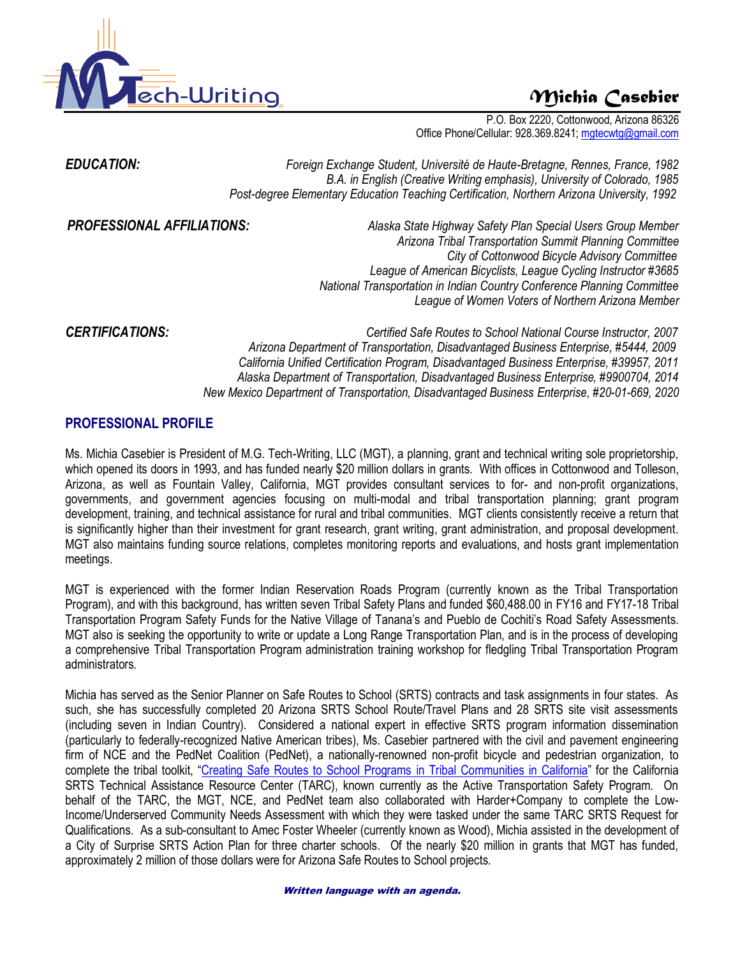

# *Michia Casebier*

P.O. Box 2220, Cottonwood, Arizona 86326 Office Phone/Cellular: 928.369.8241; [mgtecwtg@gmail.com](mailto:mgtecwtg@gmail.com)

*EDUCATION: Foreign Exchange Student, Université de Haute-Bretagne, Rennes, France, 1982 B.A. in English (Creative Writing emphasis), University of Colorado, 1985 Post-degree Elementary Education Teaching Certification, Northern Arizona University, 1992*

*PROFESSIONAL AFFILIATIONS: Alaska State Highway Safety Plan Special Users Group Member Arizona Tribal Transportation Summit Planning Committee City of Cottonwood Bicycle Advisory Committee League of American Bicyclists, League Cycling Instructor #3685 National Transportation in Indian Country Conference Planning Committee League of Women Voters of Northern Arizona Member*

*CERTIFICATIONS: Certified Safe Routes to School National Course Instructor, 2007 Arizona Department of Transportation, Disadvantaged Business Enterprise, #5444, 2009 California Unified Certification Program, Disadvantaged Business Enterprise, #39957, 2011 Alaska Department of Transportation, Disadvantaged Business Enterprise, #9900704, 2014 New Mexico Department of Transportation, Disadvantaged Business Enterprise, #20-01-669, 2020*

## **PROFESSIONAL PROFILE**

Ms. Michia Casebier is President of M.G. Tech-Writing, LLC (MGT), a planning, grant and technical writing sole proprietorship, which opened its doors in 1993, and has funded nearly \$20 million dollars in grants. With offices in Cottonwood and Tolleson, Arizona, as well as Fountain Valley, California, MGT provides consultant services to for- and non-profit organizations, governments, and government agencies focusing on multi-modal and tribal transportation planning; grant program development, training, and technical assistance for rural and tribal communities. MGT clients consistently receive a return that is significantly higher than their investment for grant research, grant writing, grant administration, and proposal development. MGT also maintains funding source relations, completes monitoring reports and evaluations, and hosts grant implementation meetings.

MGT is experienced with the former Indian Reservation Roads Program (currently known as the Tribal Transportation Program), and with this background, has written seven Tribal Safety Plans and funded \$60,488.00 in FY16 and FY17-18 Tribal Transportation Program Safety Funds for the Native Village of Tanana's and Pueblo de Cochiti's Road Safety Assessments. MGT also is seeking the opportunity to write or update a Long Range Transportation Plan, and is in the process of developing a comprehensive Tribal Transportation Program administration training workshop for fledgling Tribal Transportation Program administrators.

Michia has served as the Senior Planner on Safe Routes to School (SRTS) contracts and task assignments in four states. As such, she has successfully completed 20 Arizona SRTS School Route/Travel Plans and 28 SRTS site visit assessments (including seven in Indian Country). Considered a national expert in effective SRTS program information dissemination (particularly to federally-recognized Native American tribes), Ms. Casebier partnered with the civil and pavement engineering firm of NCE and the PedNet Coalition (PedNet), a nationally-renowned non-profit bicycle and pedestrian organization, to complete the tribal toolkit, "[Creating Safe Routes to School Programs in](http://caatpresources.org/index.cfm/1511) Tribal Communities in California" for the California SRTS Technical Assistance Resource Center (TARC), known currently as the Active Transportation Safety Program. On behalf of the TARC, the MGT, NCE, and PedNet team also collaborated with Harder+Company to complete the Low-Income/Underserved Community Needs Assessment with which they were tasked under the same TARC SRTS Request for Qualifications. As a sub-consultant to Amec Foster Wheeler (currently known as Wood), Michia assisted in the development of a City of Surprise SRTS Action Plan for three charter schools. Of the nearly \$20 million in grants that MGT has funded, approximately 2 million of those dollars were for Arizona Safe Routes to School projects.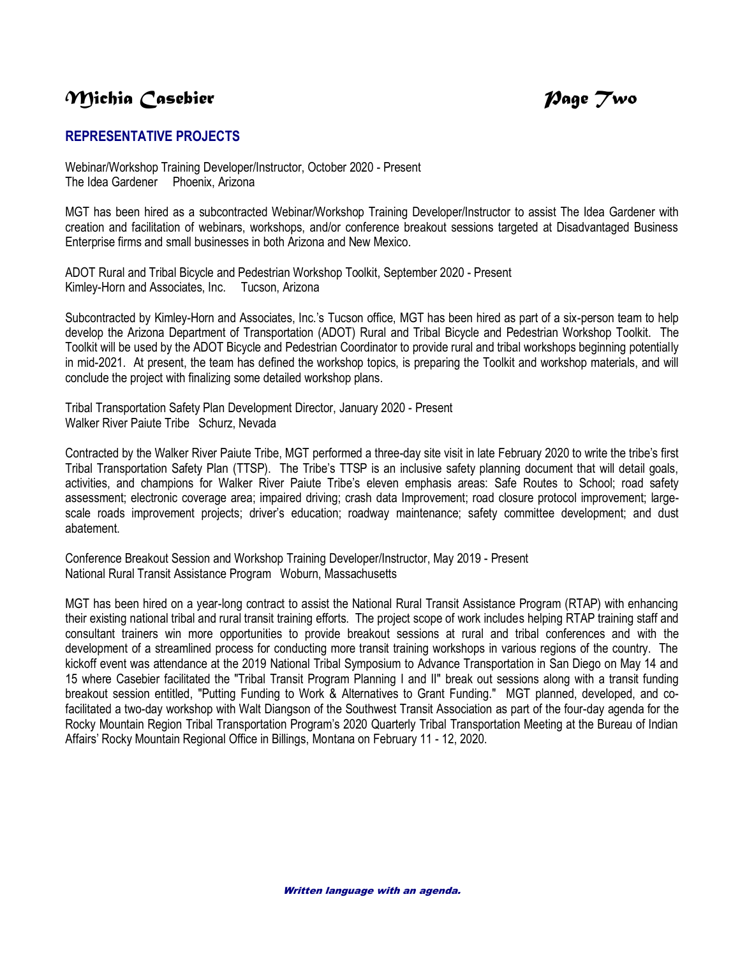# *Michia Casebier Page Two*

## **REPRESENTATIVE PROJECTS**

Webinar/Workshop Training Developer/Instructor, October 2020 - Present The Idea Gardener Phoenix, Arizona

MGT has been hired as a subcontracted Webinar/Workshop Training Developer/Instructor to assist The Idea Gardener with creation and facilitation of webinars, workshops, and/or conference breakout sessions targeted at Disadvantaged Business Enterprise firms and small businesses in both Arizona and New Mexico.

ADOT Rural and Tribal Bicycle and Pedestrian Workshop Toolkit, September 2020 - Present Kimley-Horn and Associates, Inc. Tucson, Arizona

Subcontracted by Kimley-Horn and Associates, Inc.'s Tucson office, MGT has been hired as part of a six-person team to help develop the Arizona Department of Transportation (ADOT) Rural and Tribal Bicycle and Pedestrian Workshop Toolkit. The Toolkit will be used by the ADOT Bicycle and Pedestrian Coordinator to provide rural and tribal workshops beginning potentially in mid-2021. At present, the team has defined the workshop topics, is preparing the Toolkit and workshop materials, and will conclude the project with finalizing some detailed workshop plans.

Tribal Transportation Safety Plan Development Director, January 2020 - Present Walker River Paiute Tribe Schurz, Nevada

Contracted by the Walker River Paiute Tribe, MGT performed a three-day site visit in late February 2020 to write the tribe's first Tribal Transportation Safety Plan (TTSP). The Tribe's TTSP is an inclusive safety planning document that will detail goals, activities, and champions for Walker River Paiute Tribe's eleven emphasis areas: Safe Routes to School; road safety assessment; electronic coverage area; impaired driving; crash data Improvement; road closure protocol improvement; largescale roads improvement projects; driver's education; roadway maintenance; safety committee development; and dust abatement.

Conference Breakout Session and Workshop Training Developer/Instructor, May 2019 - Present National Rural Transit Assistance Program Woburn, Massachusetts

MGT has been hired on a year-long contract to assist the National Rural Transit Assistance Program (RTAP) with enhancing their existing national tribal and rural transit training efforts. The project scope of work includes helping RTAP training staff and consultant trainers win more opportunities to provide breakout sessions at rural and tribal conferences and with the development of a streamlined process for conducting more transit training workshops in various regions of the country. The kickoff event was attendance at the 2019 National Tribal Symposium to Advance Transportation in San Diego on May 14 and 15 where Casebier facilitated the "Tribal Transit Program Planning I and II" break out sessions along with a transit funding breakout session entitled, "Putting Funding to Work & Alternatives to Grant Funding." MGT planned, developed, and cofacilitated a two-day workshop with Walt Diangson of the Southwest Transit Association as part of the four-day agenda for the Rocky Mountain Region Tribal Transportation Program's 2020 Quarterly Tribal Transportation Meeting at the Bureau of Indian Affairs' Rocky Mountain Regional Office in Billings, Montana on February 11 - 12, 2020.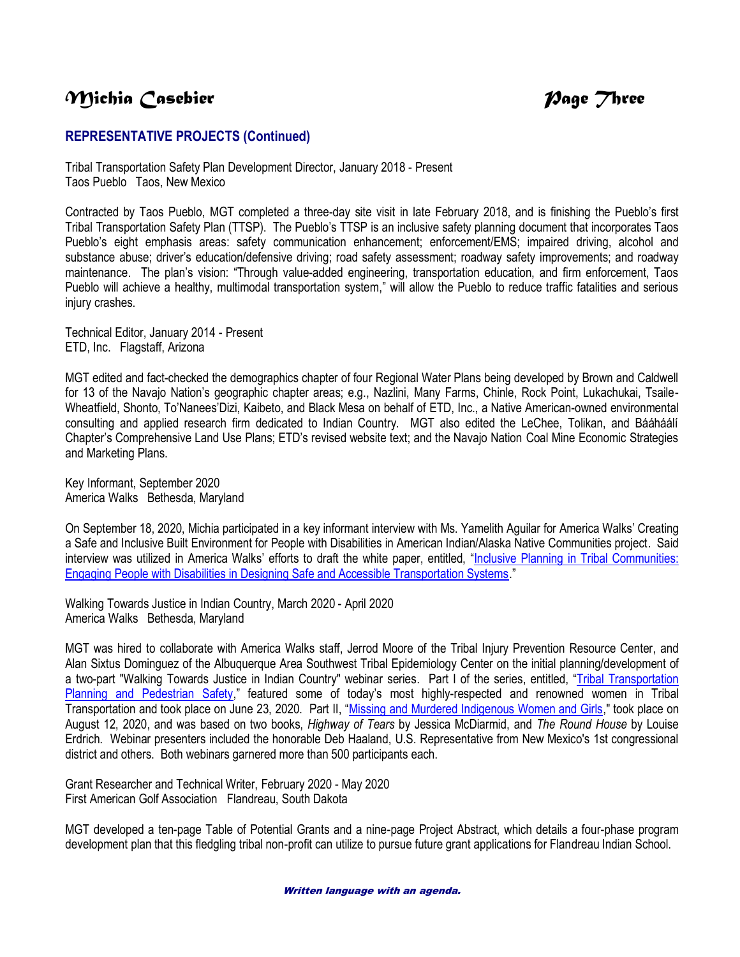# *M*ichia Casebier *Page Three*

## **REPRESENTATIVE PROJECTS (Continued)**

Tribal Transportation Safety Plan Development Director, January 2018 - Present Taos Pueblo Taos, New Mexico

Contracted by Taos Pueblo, MGT completed a three-day site visit in late February 2018, and is finishing the Pueblo's first Tribal Transportation Safety Plan (TTSP). The Pueblo's TTSP is an inclusive safety planning document that incorporates Taos Pueblo's eight emphasis areas: safety communication enhancement; enforcement/EMS; impaired driving, alcohol and substance abuse; driver's education/defensive driving; road safety assessment; roadway safety improvements; and roadway maintenance. The plan's vision: "Through value-added engineering, transportation education, and firm enforcement, Taos Pueblo will achieve a healthy, multimodal transportation system," will allow the Pueblo to reduce traffic fatalities and serious injury crashes.

Technical Editor, January 2014 - Present ETD, Inc. Flagstaff, Arizona

MGT edited and fact-checked the demographics chapter of four Regional Water Plans being developed by Brown and Caldwell for 13 of the Navajo Nation's geographic chapter areas; e.g., Nazlini, Many Farms, Chinle, Rock Point, Lukachukai, Tsaile-Wheatfield, Shonto, To'Nanees'Dizi, Kaibeto, and Black Mesa on behalf of ETD, Inc., a Native American-owned environmental consulting and applied research firm dedicated to Indian Country. MGT also edited the LeChee, Tolikan, and Bááháálí Chapter's Comprehensive Land Use Plans; ETD's revised website text; and the Navajo Nation Coal Mine Economic Strategies and Marketing Plans.

Key Informant, September 2020 America Walks Bethesda, Maryland

On September 18, 2020, Michia participated in a key informant interview with Ms. Yamelith Aguilar for America Walks' Creating a Safe and Inclusive Built Environment for People with Disabilities in American Indian/Alaska Native Communities project. Said interview was utilized in America Walks' efforts to draft the white paper, entitled, "[Inclusive Planning in Tribal Communities:](https://americawalks.org/wp-content/uploads/2020/12/Inclusive-Planning-in-Tribal-Communities-2.pdf)  [Engaging People with Disabilities in Designing Safe and Accessible Transportation Systems](https://americawalks.org/wp-content/uploads/2020/12/Inclusive-Planning-in-Tribal-Communities-2.pdf)."

Walking Towards Justice in Indian Country, March 2020 - April 2020 America Walks Bethesda, Maryland

MGT was hired to collaborate with America Walks staff, Jerrod Moore of the Tribal Injury Prevention Resource Center, and Alan Sixtus Dominguez of the Albuquerque Area Southwest Tribal Epidemiology Center on the initial planning/development of a two-part "Walking Towards Justice in Indian Country" webinar series. Part I of the series, entitled, "[Tribal Transportation](https://youtu.be/-X09_Eb5Exo)  [Planning and Pedestrian Safety](https://youtu.be/-X09_Eb5Exo)," featured some of today's most highly-respected and renowned women in Tribal Transportation and took place on June 23, 2020. Part II, "[Missing and Murdered Indigenous Women and Girls,](https://youtu.be/r7ppsEKRfps)" took place on August 12, 2020, and was based on two books, *Highway of Tears* by Jessica McDiarmid, and *The Round House* by Louise Erdrich. Webinar presenters included the honorable Deb Haaland, U.S. Representative from New Mexico's 1st congressional district and others. Both webinars garnered more than 500 participants each.

Grant Researcher and Technical Writer, February 2020 - May 2020 First American Golf Association Flandreau, South Dakota

MGT developed a ten-page Table of Potential Grants and a nine-page Project Abstract, which details a four-phase program development plan that this fledgling tribal non-profit can utilize to pursue future grant applications for Flandreau Indian School.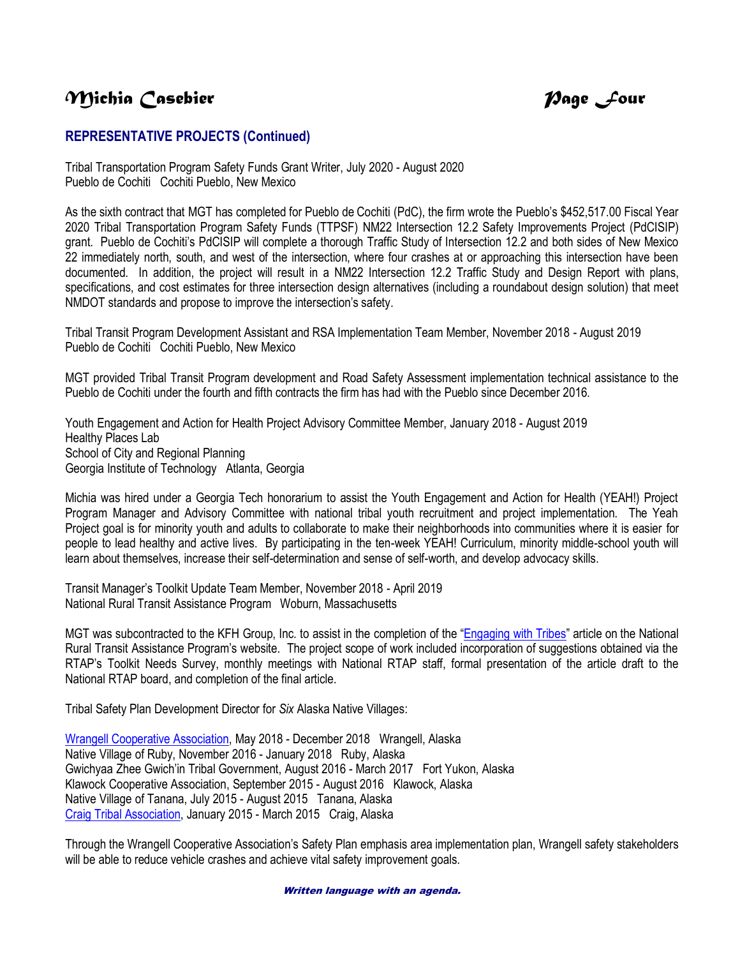# *Michia Casebier Page Four*

## **REPRESENTATIVE PROJECTS (Continued)**

Tribal Transportation Program Safety Funds Grant Writer, July 2020 - August 2020 Pueblo de Cochiti Cochiti Pueblo, New Mexico

As the sixth contract that MGT has completed for Pueblo de Cochiti (PdC), the firm wrote the Pueblo's \$452,517.00 Fiscal Year 2020 Tribal Transportation Program Safety Funds (TTPSF) NM22 Intersection 12.2 Safety Improvements Project (PdCISIP) grant. Pueblo de Cochiti's PdCISIP will complete a thorough Traffic Study of Intersection 12.2 and both sides of New Mexico 22 immediately north, south, and west of the intersection, where four crashes at or approaching this intersection have been documented. In addition, the project will result in a NM22 Intersection 12.2 Traffic Study and Design Report with plans, specifications, and cost estimates for three intersection design alternatives (including a roundabout design solution) that meet NMDOT standards and propose to improve the intersection's safety.

Tribal Transit Program Development Assistant and RSA Implementation Team Member, November 2018 - August 2019 Pueblo de Cochiti Cochiti Pueblo, New Mexico

MGT provided Tribal Transit Program development and Road Safety Assessment implementation technical assistance to the Pueblo de Cochiti under the fourth and fifth contracts the firm has had with the Pueblo since December 2016.

Youth Engagement and Action for Health Project Advisory Committee Member, January 2018 - August 2019 Healthy Places Lab School of City and Regional Planning Georgia Institute of Technology Atlanta, Georgia

Michia was hired under a Georgia Tech honorarium to assist the Youth Engagement and Action for Health (YEAH!) Project Program Manager and Advisory Committee with national tribal youth recruitment and project implementation. The Yeah Project goal is for minority youth and adults to collaborate to make their neighborhoods into communities where it is easier for people to lead healthy and active lives. By participating in the ten-week YEAH! Curriculum, minority middle-school youth will learn about themselves, increase their self-determination and sense of self-worth, and develop advocacy skills.

Transit Manager's Toolkit Update Team Member, November 2018 - April 2019 National Rural Transit Assistance Program Woburn, Massachusetts

MGT was subcontracted to the KFH Group, Inc. to assist in the completion of the "[Engaging with Tribes](http://nationalrtap.org/Tribal-Transit/Engaging-with-Tribes)" article on the National Rural Transit Assistance Program's website. The project scope of work included incorporation of suggestions obtained via the RTAP's Toolkit Needs Survey, monthly meetings with National RTAP staff, formal presentation of the article draft to the National RTAP board, and completion of the final article.

Tribal Safety Plan Development Director for *Six* Alaska Native Villages:

[Wrangell Cooperative Association,](https://www.tribalsafety.org/safety-plans-library) May 2018 - December 2018 Wrangell, Alaska Native Village of Ruby, November 2016 - January 2018 Ruby, Alaska Gwichyaa Zhee Gwich'in Tribal Government, August 2016 - March 2017 Fort Yukon, Alaska Klawock Cooperative Association, September 2015 - August 2016 Klawock, Alaska Native Village of Tanana, July 2015 - August 2015 Tanana, Alaska [Craig Tribal Association,](http://www.tribalsafety.org/safety-plans-library) January 2015 - March 2015 Craig, Alaska

Through the Wrangell Cooperative Association's Safety Plan emphasis area implementation plan, Wrangell safety stakeholders will be able to reduce vehicle crashes and achieve vital safety improvement goals.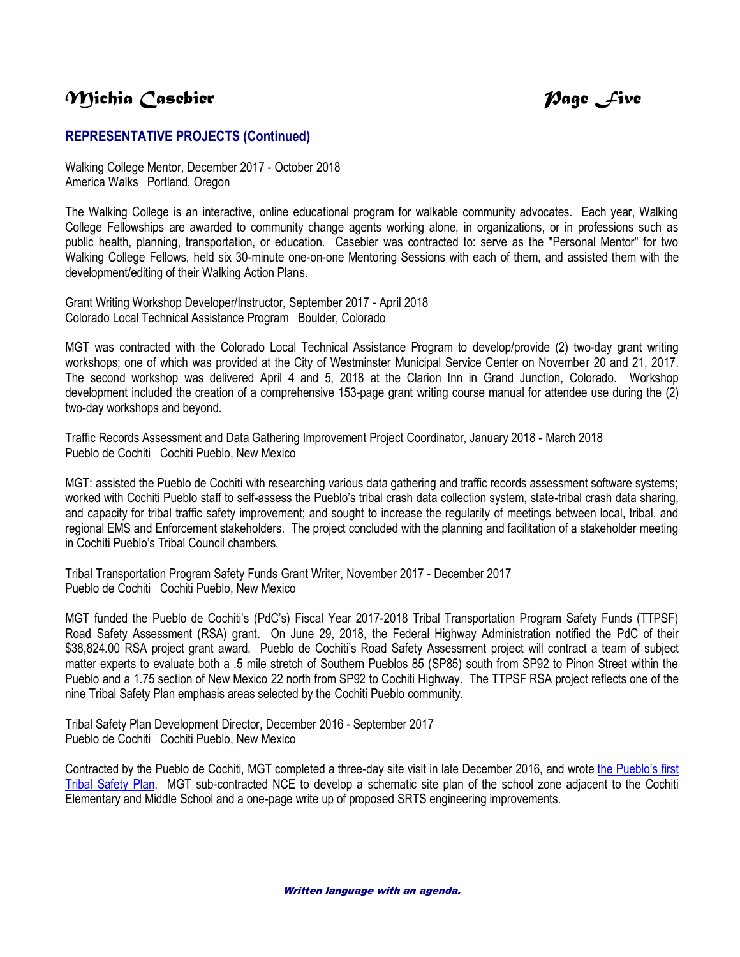# *Michia Casebier Page Five*

## **REPRESENTATIVE PROJECTS (Continued)**

Walking College Mentor, December 2017 - October 2018 America Walks Portland, Oregon

The Walking College is an interactive, online educational program for walkable community advocates. Each year, Walking College Fellowships are awarded to community change agents working alone, in organizations, or in professions such as public health, planning, transportation, or education. Casebier was contracted to: serve as the "Personal Mentor" for two Walking College Fellows, held six 30-minute one-on-one Mentoring Sessions with each of them, and assisted them with the development/editing of their Walking Action Plans.

Grant Writing Workshop Developer/Instructor, September 2017 - April 2018 Colorado Local Technical Assistance Program Boulder, Colorado

MGT was contracted with the Colorado Local Technical Assistance Program to develop/provide (2) two-day grant writing workshops; one of which was provided at the City of Westminster Municipal Service Center on November 20 and 21, 2017. The second workshop was delivered April 4 and 5, 2018 at the Clarion Inn in Grand Junction, Colorado. Workshop development included the creation of a comprehensive 153-page grant writing course manual for attendee use during the (2) two-day workshops and beyond.

Traffic Records Assessment and Data Gathering Improvement Project Coordinator, January 2018 - March 2018 Pueblo de Cochiti Cochiti Pueblo, New Mexico

MGT: assisted the Pueblo de Cochiti with researching various data gathering and traffic records assessment software systems; worked with Cochiti Pueblo staff to self-assess the Pueblo's tribal crash data collection system, state-tribal crash data sharing, and capacity for tribal traffic safety improvement; and sought to increase the regularity of meetings between local, tribal, and regional EMS and Enforcement stakeholders. The project concluded with the planning and facilitation of a stakeholder meeting in Cochiti Pueblo's Tribal Council chambers.

Tribal Transportation Program Safety Funds Grant Writer, November 2017 - December 2017 Pueblo de Cochiti Cochiti Pueblo, New Mexico

MGT funded the Pueblo de Cochiti's (PdC's) Fiscal Year 2017-2018 Tribal Transportation Program Safety Funds (TTPSF) Road Safety Assessment (RSA) grant. On June 29, 2018, the Federal Highway Administration notified the PdC of their \$38,824.00 RSA project grant award. Pueblo de Cochiti's Road Safety Assessment project will contract a team of subject matter experts to evaluate both a .5 mile stretch of Southern Pueblos 85 (SP85) south from SP92 to Pinon Street within the Pueblo and a 1.75 section of New Mexico 22 north from SP92 to Cochiti Highway. The TTPSF RSA project reflects one of the nine Tribal Safety Plan emphasis areas selected by the Cochiti Pueblo community.

Tribal Safety Plan Development Director, December 2016 - September 2017 Pueblo de Cochiti Cochiti Pueblo, New Mexico

Contracted by the Pueblo de Cochiti, MGT completed a three-day site visit in late December 2016, and wrote [the Pueblo's first](https://www.tribalsafety.org/safety-plans-library)  [Tribal Safety Plan.](https://www.tribalsafety.org/safety-plans-library) MGT sub-contracted NCE to develop a schematic site plan of the school zone adjacent to the Cochiti Elementary and Middle School and a one-page write up of proposed SRTS engineering improvements.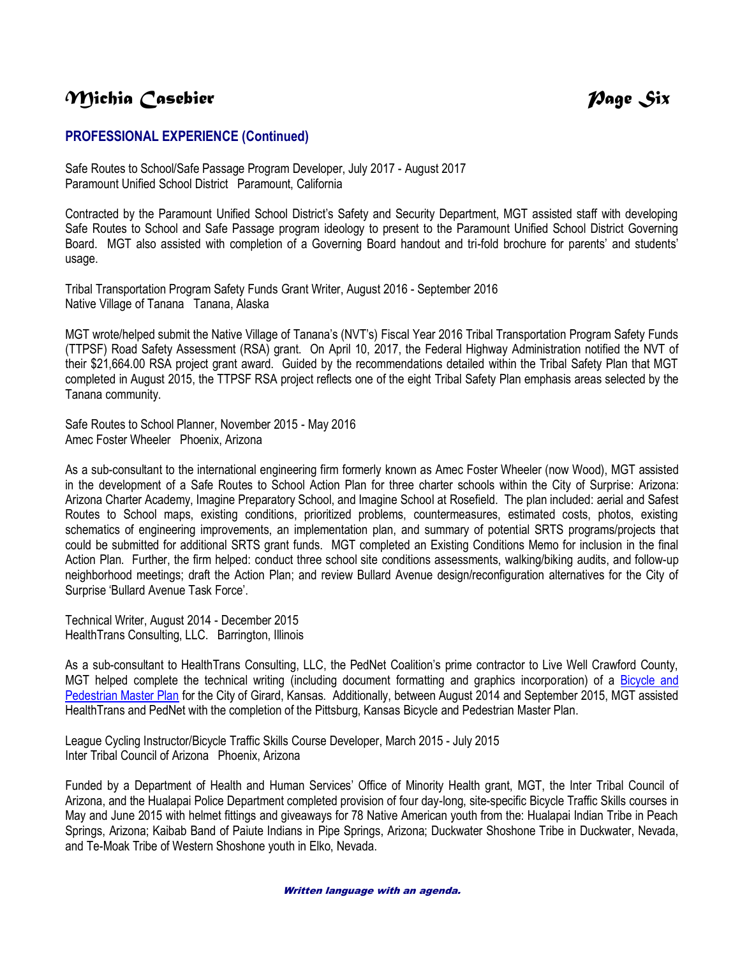# *Michia Casebier Page Six*

## **PROFESSIONAL EXPERIENCE (Continued)**

Safe Routes to School/Safe Passage Program Developer, July 2017 - August 2017 Paramount Unified School District Paramount, California

Contracted by the Paramount Unified School District's Safety and Security Department, MGT assisted staff with developing Safe Routes to School and Safe Passage program ideology to present to the Paramount Unified School District Governing Board. MGT also assisted with completion of a Governing Board handout and tri-fold brochure for parents' and students' usage.

Tribal Transportation Program Safety Funds Grant Writer, August 2016 - September 2016 Native Village of Tanana Tanana, Alaska

MGT wrote/helped submit the Native Village of Tanana's (NVT's) Fiscal Year 2016 Tribal Transportation Program Safety Funds (TTPSF) Road Safety Assessment (RSA) grant. On April 10, 2017, the Federal Highway Administration notified the NVT of their \$21,664.00 RSA project grant award. Guided by the recommendations detailed within the Tribal Safety Plan that MGT completed in August 2015, the TTPSF RSA project reflects one of the eight Tribal Safety Plan emphasis areas selected by the Tanana community.

Safe Routes to School Planner, November 2015 - May 2016 Amec Foster Wheeler Phoenix, Arizona

As a sub-consultant to the international engineering firm formerly known as Amec Foster Wheeler (now Wood), MGT assisted in the development of a Safe Routes to School Action Plan for three charter schools within the City of Surprise: Arizona: Arizona Charter Academy, Imagine Preparatory School, and Imagine School at Rosefield. The plan included: aerial and Safest Routes to School maps, existing conditions, prioritized problems, countermeasures, estimated costs, photos, existing schematics of engineering improvements, an implementation plan, and summary of potential SRTS programs/projects that could be submitted for additional SRTS grant funds. MGT completed an Existing Conditions Memo for inclusion in the final Action Plan. Further, the firm helped: conduct three school site conditions assessments, walking/biking audits, and follow-up neighborhood meetings; draft the Action Plan; and review Bullard Avenue design/reconfiguration alternatives for the City of Surprise 'Bullard Avenue Task Force'.

Technical Writer, August 2014 - December 2015 HealthTrans Consulting, LLC. Barrington, Illinois

As a sub-consultant to HealthTrans Consulting, LLC, the PedNet Coalition's prime contractor to Live Well Crawford County, MGT helped complete the technical writing (including document formatting and graphics incorporation) of a [Bicycle and](https://pednet.org/wp-content/uploads/Girard-Bike-Ped-Master-Plan-Compressed.pdf)  [Pedestrian Master Plan](https://pednet.org/wp-content/uploads/Girard-Bike-Ped-Master-Plan-Compressed.pdf) for the City of Girard, Kansas. Additionally, between August 2014 and September 2015, MGT assisted HealthTrans and PedNet with the completion of the Pittsburg, Kansas Bicycle and Pedestrian Master Plan.

League Cycling Instructor/Bicycle Traffic Skills Course Developer, March 2015 - July 2015 Inter Tribal Council of Arizona Phoenix, Arizona

Funded by a Department of Health and Human Services' Office of Minority Health grant, MGT, the Inter Tribal Council of Arizona, and the Hualapai Police Department completed provision of four day-long, site-specific Bicycle Traffic Skills courses in May and June 2015 with helmet fittings and giveaways for 78 Native American youth from the: Hualapai Indian Tribe in Peach Springs, Arizona; Kaibab Band of Paiute Indians in Pipe Springs, Arizona; Duckwater Shoshone Tribe in Duckwater, Nevada, and Te-Moak Tribe of Western Shoshone youth in Elko, Nevada.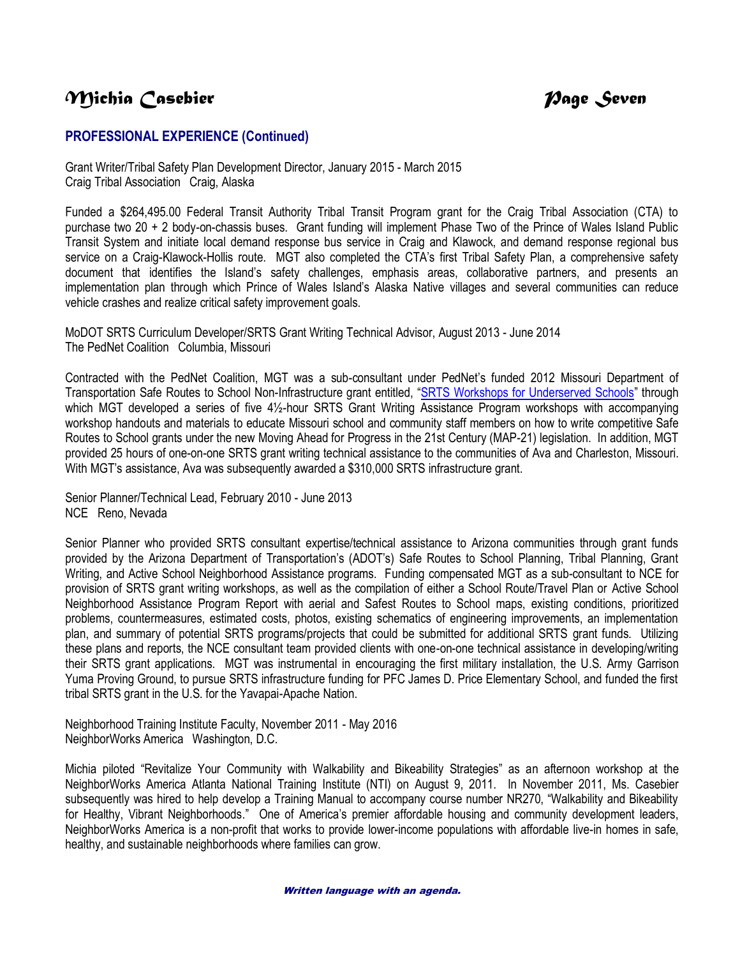# *Michia Casebier Page Seven*

## **PROFESSIONAL EXPERIENCE (Continued)**

Grant Writer/Tribal Safety Plan Development Director, January 2015 - March 2015 Craig Tribal Association Craig, Alaska

Funded a \$264,495.00 Federal Transit Authority Tribal Transit Program grant for the Craig Tribal Association (CTA) to purchase two 20 + 2 body-on-chassis buses. Grant funding will implement Phase Two of the Prince of Wales Island Public Transit System and initiate local demand response bus service in Craig and Klawock, and demand response regional bus service on a Craig-Klawock-Hollis route. MGT also completed the CTA's first Tribal Safety Plan, a comprehensive safety document that identifies the Island's safety challenges, emphasis areas, collaborative partners, and presents an implementation plan through which Prince of Wales Island's Alaska Native villages and several communities can reduce vehicle crashes and realize critical safety improvement goals.

MoDOT SRTS Curriculum Developer/SRTS Grant Writing Technical Advisor, August 2013 - June 2014 The PedNet Coalition Columbia, Missouri

Contracted with the PedNet Coalition, MGT was a sub-consultant under PedNet's funded 2012 Missouri Department of Transportation Safe Routes to School Non-Infrastructure grant entitled, "[SRTS Workshops for Underserved Schools](https://www.pednet.org/project/safe-routes-to-school-workshops/)" through which MGT developed a series of five 4½-hour SRTS Grant Writing Assistance Program workshops with accompanying workshop handouts and materials to educate Missouri school and community staff members on how to write competitive Safe Routes to School grants under the new Moving Ahead for Progress in the 21st Century (MAP-21) legislation. In addition, MGT provided 25 hours of one-on-one SRTS grant writing technical assistance to the communities of Ava and Charleston, Missouri. With MGT's assistance, Ava was subsequently awarded a \$310,000 SRTS infrastructure grant.

Senior Planner/Technical Lead, February 2010 - June 2013 NCE Reno, Nevada

Senior Planner who provided SRTS consultant expertise/technical assistance to Arizona communities through grant funds provided by the Arizona Department of Transportation's (ADOT's) Safe Routes to School Planning, Tribal Planning, Grant Writing, and Active School Neighborhood Assistance programs. Funding compensated MGT as a sub-consultant to NCE for provision of SRTS grant writing workshops, as well as the compilation of either a School Route/Travel Plan or Active School Neighborhood Assistance Program Report with aerial and Safest Routes to School maps, existing conditions, prioritized problems, countermeasures, estimated costs, photos, existing schematics of engineering improvements, an implementation plan, and summary of potential SRTS programs/projects that could be submitted for additional SRTS grant funds. Utilizing these plans and reports, the NCE consultant team provided clients with one-on-one technical assistance in developing/writing their SRTS grant applications. MGT was instrumental in encouraging the first military installation, the U.S. Army Garrison Yuma Proving Ground, to pursue SRTS infrastructure funding for PFC James D. Price Elementary School, and funded the first tribal SRTS grant in the U.S. for the Yavapai-Apache Nation.

Neighborhood Training Institute Faculty, November 2011 - May 2016 NeighborWorks America Washington, D.C.

Michia piloted "Revitalize Your Community with Walkability and Bikeability Strategies" as an afternoon workshop at the NeighborWorks America Atlanta National Training Institute (NTI) on August 9, 2011. In November 2011, Ms. Casebier subsequently was hired to help develop a Training Manual to accompany course number NR270, "Walkability and Bikeability for Healthy, Vibrant Neighborhoods." One of America's premier affordable housing and community development leaders, NeighborWorks America is a non-profit that works to provide lower-income populations with affordable live-in homes in safe, healthy, and sustainable neighborhoods where families can grow.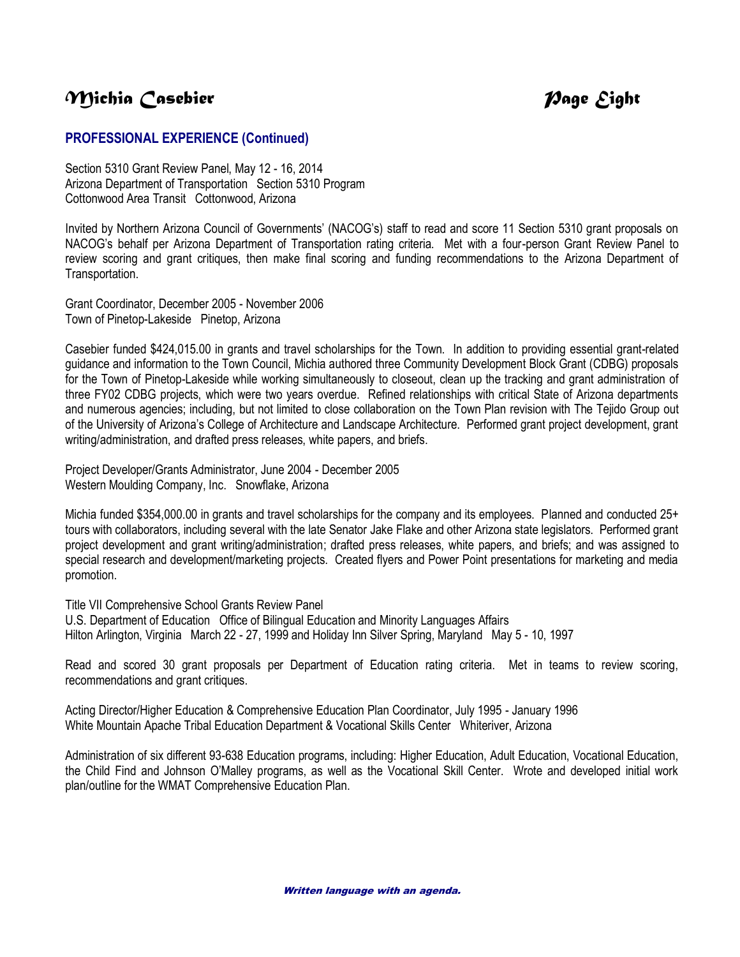# *Michia Casebier Page Eight*

## **PROFESSIONAL EXPERIENCE (Continued)**

Section 5310 Grant Review Panel, May 12 - 16, 2014 Arizona Department of Transportation Section 5310 Program Cottonwood Area Transit Cottonwood, Arizona

Invited by Northern Arizona Council of Governments' (NACOG's) staff to read and score 11 Section 5310 grant proposals on NACOG's behalf per Arizona Department of Transportation rating criteria. Met with a four-person Grant Review Panel to review scoring and grant critiques, then make final scoring and funding recommendations to the Arizona Department of Transportation.

Grant Coordinator, December 2005 - November 2006 Town of Pinetop-Lakeside Pinetop, Arizona

Casebier funded \$424,015.00 in grants and travel scholarships for the Town. In addition to providing essential grant-related guidance and information to the Town Council, Michia authored three Community Development Block Grant (CDBG) proposals for the Town of Pinetop-Lakeside while working simultaneously to closeout, clean up the tracking and grant administration of three FY02 CDBG projects, which were two years overdue. Refined relationships with critical State of Arizona departments and numerous agencies; including, but not limited to close collaboration on the Town Plan revision with The Tejido Group out of the University of Arizona's College of Architecture and Landscape Architecture. Performed grant project development, grant writing/administration, and drafted press releases, white papers, and briefs.

Project Developer/Grants Administrator, June 2004 - December 2005 Western Moulding Company, Inc. Snowflake, Arizona

Michia funded \$354,000.00 in grants and travel scholarships for the company and its employees. Planned and conducted 25+ tours with collaborators, including several with the late Senator Jake Flake and other Arizona state legislators. Performed grant project development and grant writing/administration; drafted press releases, white papers, and briefs; and was assigned to special research and development/marketing projects. Created flyers and Power Point presentations for marketing and media promotion.

Title VII Comprehensive School Grants Review Panel U.S. Department of Education Office of Bilingual Education and Minority Languages Affairs Hilton Arlington, Virginia March 22 - 27, 1999 and Holiday Inn Silver Spring, Maryland May 5 - 10, 1997

Read and scored 30 grant proposals per Department of Education rating criteria. Met in teams to review scoring, recommendations and grant critiques.

Acting Director/Higher Education & Comprehensive Education Plan Coordinator, July 1995 - January 1996 White Mountain Apache Tribal Education Department & Vocational Skills Center Whiteriver, Arizona

Administration of six different 93-638 Education programs, including: Higher Education, Adult Education, Vocational Education, the Child Find and Johnson O'Malley programs, as well as the Vocational Skill Center. Wrote and developed initial work plan/outline for the WMAT Comprehensive Education Plan.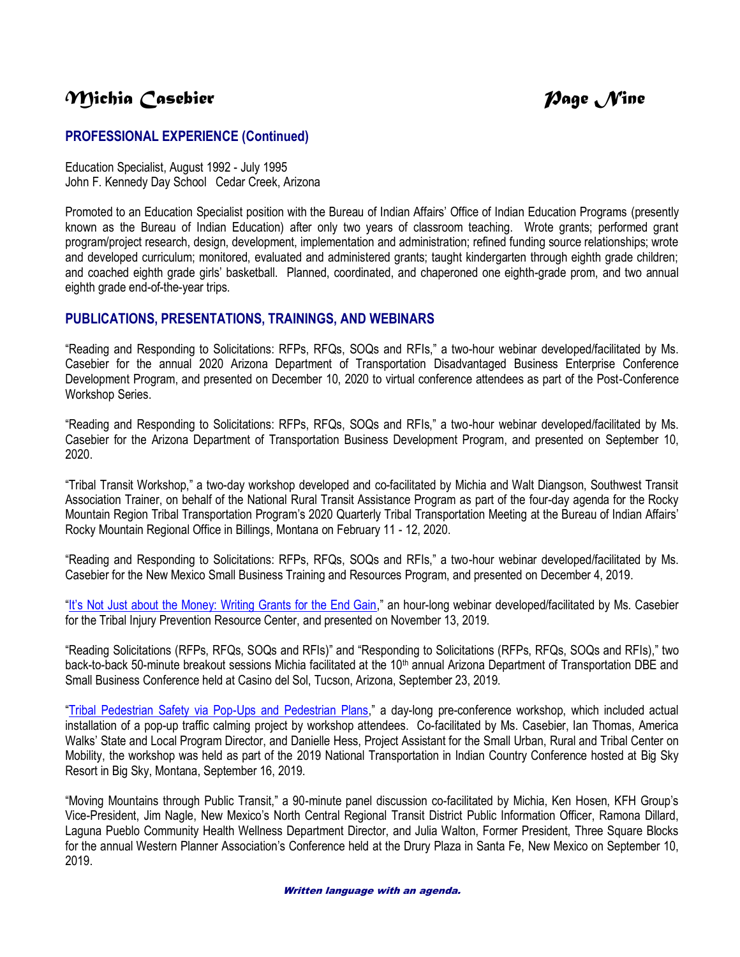# *Michia Casebier Page Nine*

## **PROFESSIONAL EXPERIENCE (Continued)**

Education Specialist, August 1992 - July 1995 John F. Kennedy Day School Cedar Creek, Arizona

Promoted to an Education Specialist position with the Bureau of Indian Affairs' Office of Indian Education Programs (presently known as the Bureau of Indian Education) after only two years of classroom teaching. Wrote grants; performed grant program/project research, design, development, implementation and administration; refined funding source relationships; wrote and developed curriculum; monitored, evaluated and administered grants; taught kindergarten through eighth grade children; and coached eighth grade girls' basketball. Planned, coordinated, and chaperoned one eighth-grade prom, and two annual eighth grade end-of-the-year trips.

### **PUBLICATIONS, PRESENTATIONS, TRAININGS, AND WEBINARS**

"Reading and Responding to Solicitations: RFPs, RFQs, SOQs and RFIs," a two-hour webinar developed/facilitated by Ms. Casebier for the annual 2020 Arizona Department of Transportation Disadvantaged Business Enterprise Conference Development Program, and presented on December 10, 2020 to virtual conference attendees as part of the Post-Conference Workshop Series.

"Reading and Responding to Solicitations: RFPs, RFQs, SOQs and RFIs," a two-hour webinar developed/facilitated by Ms. Casebier for the Arizona Department of Transportation Business Development Program, and presented on September 10, 2020.

"Tribal Transit Workshop," a two-day workshop developed and co-facilitated by Michia and Walt Diangson, Southwest Transit Association Trainer, on behalf of the National Rural Transit Assistance Program as part of the four-day agenda for the Rocky Mountain Region Tribal Transportation Program's 2020 Quarterly Tribal Transportation Meeting at the Bureau of Indian Affairs' Rocky Mountain Regional Office in Billings, Montana on February 11 - 12, 2020.

"Reading and Responding to Solicitations: RFPs, RFQs, SOQs and RFIs," a two-hour webinar developed/facilitated by Ms. Casebier for the New Mexico Small Business Training and Resources Program, and presented on December 4, 2019.

["It's Not Just about the Money: Writing Grants for the End Gain](https://www.thetiprc.com/post/webinar-it-s-not-just-about-the-money-writing-grants-for-the-end-gain)," an hour-long webinar developed/facilitated by Ms. Casebier for the Tribal Injury Prevention Resource Center, and presented on November 13, 2019.

"Reading Solicitations (RFPs, RFQs, SOQs and RFIs)" and "Responding to Solicitations (RFPs, RFQs, SOQs and RFIs)," two back-to-back 50-minute breakout sessions Michia facilitated at the 10<sup>th</sup> annual Arizona Department of Transportation DBE and Small Business Conference held at Casino del Sol, Tucson, Arizona, September 23, 2019.

"[Tribal Pedestrian Safety via Pop-Ups and Pedestrian Plans](https://9d4c1830-23f2-4f35-b70b-83fc44816860.filesusr.com/ugd/cea1b2_1fa3dd6e14814866a6a25a9ad2f910dd.pdf)," a day-long pre-conference workshop, which included actual installation of a pop-up traffic calming project by workshop attendees. Co-facilitated by Ms. Casebier, Ian Thomas, America Walks' State and Local Program Director, and Danielle Hess, Project Assistant for the Small Urban, Rural and Tribal Center on Mobility, the workshop was held as part of the 2019 National Transportation in Indian Country Conference hosted at Big Sky Resort in Big Sky, Montana, September 16, 2019.

"Moving Mountains through Public Transit," a 90-minute panel discussion co-facilitated by Michia, Ken Hosen, KFH Group's Vice-President, Jim Nagle, New Mexico's North Central Regional Transit District Public Information Officer, Ramona Dillard, Laguna Pueblo Community Health Wellness Department Director, and Julia Walton, Former President, Three Square Blocks for the annual Western Planner Association's Conference held at the Drury Plaza in Santa Fe, New Mexico on September 10, 2019.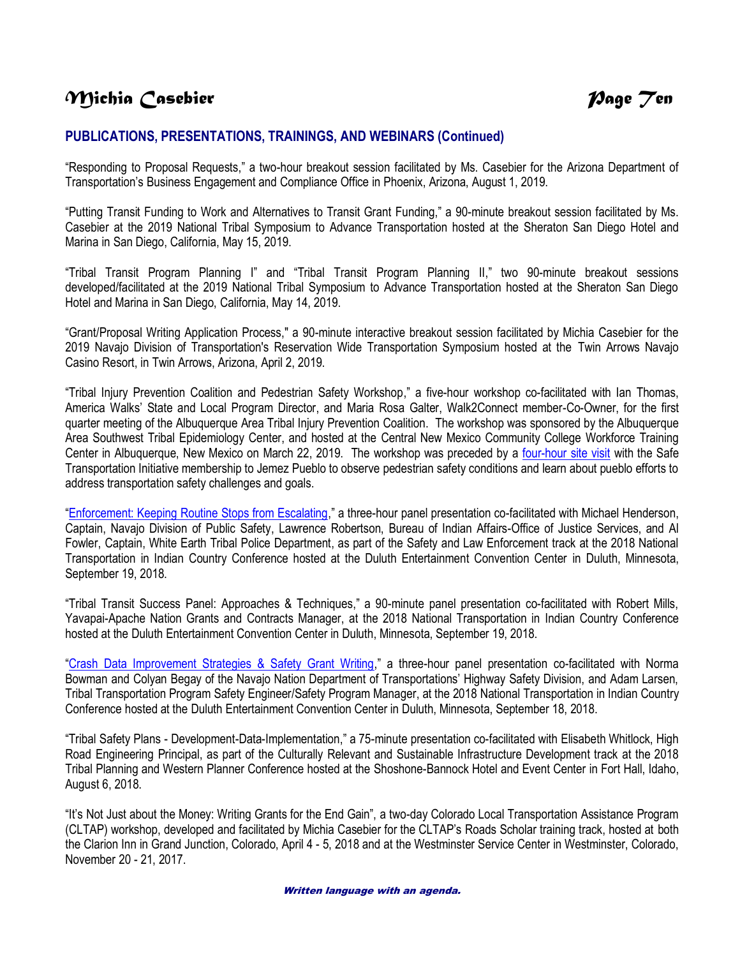# *Michia Casebier Page Ten*

### **PUBLICATIONS, PRESENTATIONS, TRAININGS, AND WEBINARS (Continued)**

"Responding to Proposal Requests," a two-hour breakout session facilitated by Ms. Casebier for the Arizona Department of Transportation's Business Engagement and Compliance Office in Phoenix, Arizona, August 1, 2019.

"Putting Transit Funding to Work and Alternatives to Transit Grant Funding," a 90-minute breakout session facilitated by Ms. Casebier at the 2019 National Tribal Symposium to Advance Transportation hosted at the Sheraton San Diego Hotel and Marina in San Diego, California, May 15, 2019.

"Tribal Transit Program Planning I" and "Tribal Transit Program Planning II," two 90-minute breakout sessions developed/facilitated at the 2019 National Tribal Symposium to Advance Transportation hosted at the Sheraton San Diego Hotel and Marina in San Diego, California, May 14, 2019.

"Grant/Proposal Writing Application Process," a 90-minute interactive breakout session facilitated by Michia Casebier for the 2019 Navajo Division of Transportation's Reservation Wide Transportation Symposium hosted at the Twin Arrows Navajo Casino Resort, in Twin Arrows, Arizona, April 2, 2019.

"Tribal Injury Prevention Coalition and Pedestrian Safety Workshop," a five-hour workshop co-facilitated with Ian Thomas, America Walks' State and Local Program Director, and Maria Rosa Galter, Walk2Connect member-Co-Owner, for the first quarter meeting of the Albuquerque Area Tribal Injury Prevention Coalition. The workshop was sponsored by the Albuquerque Area Southwest Tribal Epidemiology Center, and hosted at the Central New Mexico Community College Workforce Training Center in Albuquerque, New Mexico on March 22, 2019. The workshop was preceded by a [four-hour site visit](https://americawalks.org/addressing-pedestrian-safety-in-indian-country/) with the Safe Transportation Initiative membership to Jemez Pueblo to observe pedestrian safety conditions and learn about pueblo efforts to address transportation safety challenges and goals.

"[Enforcement: Keeping Routine Stops from Escalating](https://9d4c1830-23f2-4f35-b70b-83fc44816860.filesusr.com/ugd/cea1b2_d833e2bcb8d841d3a65242e5b6d6fb7f.pdf)," a three-hour panel presentation co-facilitated with Michael Henderson, Captain, Navajo Division of Public Safety, Lawrence Robertson, Bureau of Indian Affairs-Office of Justice Services, and Al Fowler, Captain, White Earth Tribal Police Department, as part of the Safety and Law Enforcement track at the 2018 National Transportation in Indian Country Conference hosted at the Duluth Entertainment Convention Center in Duluth, Minnesota, September 19, 2018.

"Tribal Transit Success Panel: Approaches & Techniques," a 90-minute panel presentation co-facilitated with Robert Mills, Yavapai-Apache Nation Grants and Contracts Manager, at the 2018 National Transportation in Indian Country Conference hosted at the Duluth Entertainment Convention Center in Duluth, Minnesota, September 19, 2018.

"[Crash Data Improvement Strategies & Safety Grant Writing](https://9d4c1830-23f2-4f35-b70b-83fc44816860.filesusr.com/ugd/cea1b2_0fd7810825f14d88aaa862ce75407871.pdf)," a three-hour panel presentation co-facilitated with Norma Bowman and Colyan Begay of the Navajo Nation Department of Transportations' Highway Safety Division, and Adam Larsen, Tribal Transportation Program Safety Engineer/Safety Program Manager, at the 2018 National Transportation in Indian Country Conference hosted at the Duluth Entertainment Convention Center in Duluth, Minnesota, September 18, 2018.

"Tribal Safety Plans - Development-Data-Implementation," a 75-minute presentation co-facilitated with Elisabeth Whitlock, High Road Engineering Principal, as part of the Culturally Relevant and Sustainable Infrastructure Development track at the 2018 Tribal Planning and Western Planner Conference hosted at the Shoshone-Bannock Hotel and Event Center in Fort Hall, Idaho, August 6, 2018.

"It's Not Just about the Money: Writing Grants for the End Gain", a two-day Colorado Local Transportation Assistance Program (CLTAP) workshop, developed and facilitated by Michia Casebier for the CLTAP's Roads Scholar training track, hosted at both the Clarion Inn in Grand Junction, Colorado, April 4 - 5, 2018 and at the Westminster Service Center in Westminster, Colorado, November 20 - 21, 2017.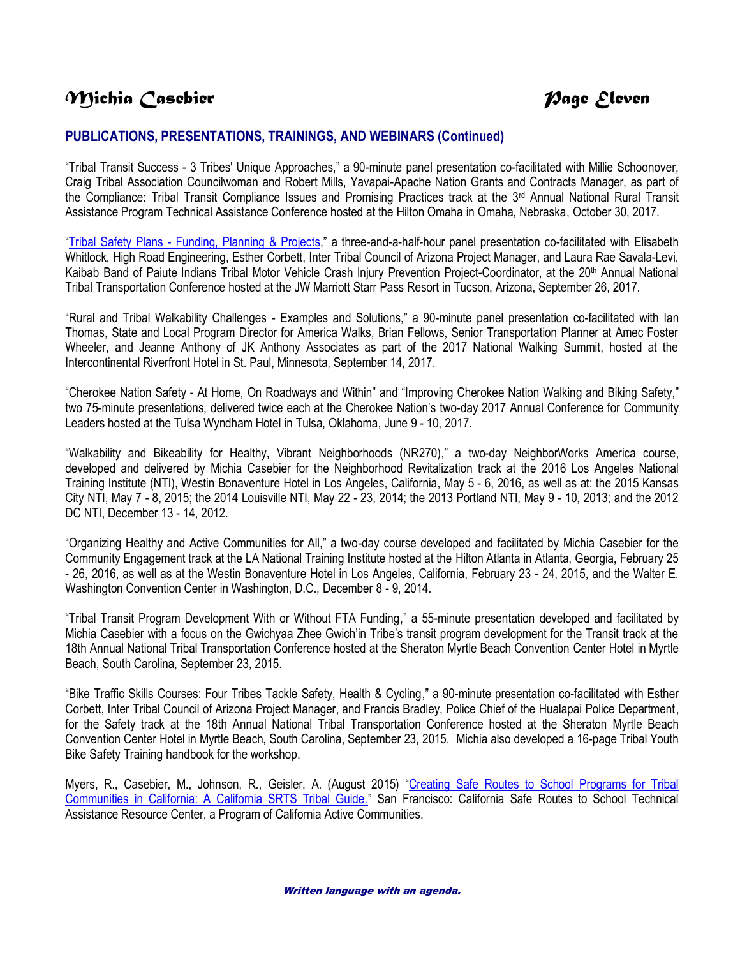# *Michia Casebier Page Eleven*

### **PUBLICATIONS, PRESENTATIONS, TRAININGS, AND WEBINARS (Continued)**

"Tribal Transit Success - 3 Tribes' Unique Approaches," a 90-minute panel presentation co-facilitated with Millie Schoonover, Craig Tribal Association Councilwoman and Robert Mills, Yavapai-Apache Nation Grants and Contracts Manager, as part of the Compliance: Tribal Transit Compliance Issues and Promising Practices track at the 3<sup>rd</sup> Annual National Rural Transit Assistance Program Technical Assistance Conference hosted at the Hilton Omaha in Omaha, Nebraska, October 30, 2017.

"Tribal Safety Plans - [Funding, Planning & Projects](https://9d4c1830-23f2-4f35-b70b-83fc44816860.filesusr.com/ugd/cea1b2_56559767cf734c54a31dd92522a20bfb.pdf)," a three-and-a-half-hour panel presentation co-facilitated with Elisabeth Whitlock, High Road Engineering, Esther Corbett, Inter Tribal Council of Arizona Project Manager, and Laura Rae Savala-Levi, Kaibab Band of Paiute Indians Tribal Motor Vehicle Crash Injury Prevention Project-Coordinator, at the 20<sup>th</sup> Annual National Tribal Transportation Conference hosted at the JW Marriott Starr Pass Resort in Tucson, Arizona, September 26, 2017.

"Rural and Tribal Walkability Challenges - Examples and Solutions," a 90-minute panel presentation co-facilitated with Ian Thomas, State and Local Program Director for America Walks, Brian Fellows, Senior Transportation Planner at Amec Foster Wheeler, and Jeanne Anthony of JK Anthony Associates as part of the 2017 National Walking Summit, hosted at the Intercontinental Riverfront Hotel in St. Paul, Minnesota, September 14, 2017.

"Cherokee Nation Safety - At Home, On Roadways and Within" and "Improving Cherokee Nation Walking and Biking Safety," two 75-minute presentations, delivered twice each at the Cherokee Nation's two-day 2017 Annual Conference for Community Leaders hosted at the Tulsa Wyndham Hotel in Tulsa, Oklahoma, June 9 - 10, 2017.

"Walkability and Bikeability for Healthy, Vibrant Neighborhoods (NR270)," a two-day NeighborWorks America course, developed and delivered by Michia Casebier for the Neighborhood Revitalization track at the 2016 Los Angeles National Training Institute (NTI), Westin Bonaventure Hotel in Los Angeles, California, May 5 - 6, 2016, as well as at: the 2015 Kansas City NTI, May 7 - 8, 2015; the 2014 Louisville NTI, May 22 - 23, 2014; the 2013 Portland NTI, May 9 - 10, 2013; and the 2012 DC NTI, December 13 - 14, 2012.

"Organizing Healthy and Active Communities for All," a two-day course developed and facilitated by Michia Casebier for the Community Engagement track at the LA National Training Institute hosted at the Hilton Atlanta in Atlanta, Georgia, February 25 - 26, 2016, as well as at the Westin Bonaventure Hotel in Los Angeles, California, February 23 - 24, 2015, and the Walter E. Washington Convention Center in Washington, D.C., December 8 - 9, 2014.

"Tribal Transit Program Development With or Without FTA Funding," a 55-minute presentation developed and facilitated by Michia Casebier with a focus on the Gwichyaa Zhee Gwich'in Tribe's transit program development for the Transit track at the 18th Annual National Tribal Transportation Conference hosted at the Sheraton Myrtle Beach Convention Center Hotel in Myrtle Beach, South Carolina, September 23, 2015.

"Bike Traffic Skills Courses: Four Tribes Tackle Safety, Health & Cycling," a 90-minute presentation co-facilitated with Esther Corbett, Inter Tribal Council of Arizona Project Manager, and Francis Bradley, Police Chief of the Hualapai Police Department, for the Safety track at the 18th Annual National Tribal Transportation Conference hosted at the Sheraton Myrtle Beach Convention Center Hotel in Myrtle Beach, South Carolina, September 23, 2015. Michia also developed a 16-page Tribal Youth Bike Safety Training handbook for the workshop.

Myers, R., Casebier, M., Johnson, R., Geisler, A. (August 2015) "[Creating Safe Routes to School Programs for Tribal](http://caatpresources.org/index.cfm/1511)  [Communities in California: A California SRTS Tribal Guide.](http://caatpresources.org/index.cfm/1511)" San Francisco: California Safe Routes to School Technical Assistance Resource Center, a Program of California Active Communities.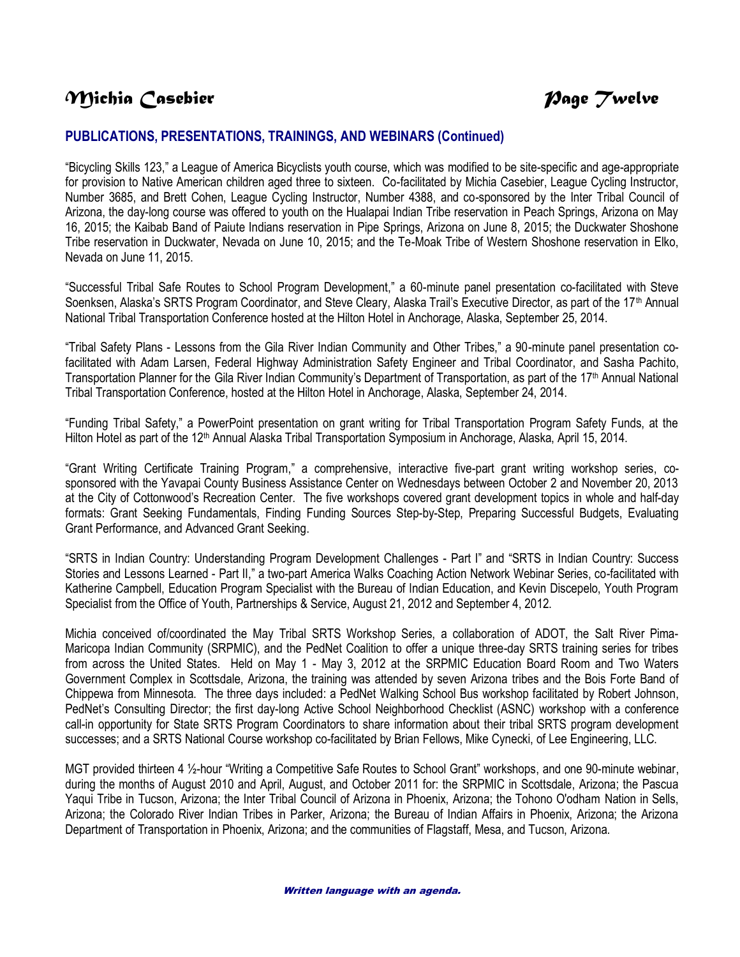# *M*ichia Casebier *Page Twelve*

### **PUBLICATIONS, PRESENTATIONS, TRAININGS, AND WEBINARS (Continued)**

"Bicycling Skills 123," a League of America Bicyclists youth course, which was modified to be site-specific and age-appropriate for provision to Native American children aged three to sixteen. Co-facilitated by Michia Casebier, League Cycling Instructor, Number 3685, and Brett Cohen, League Cycling Instructor, Number 4388, and co-sponsored by the Inter Tribal Council of Arizona, the day-long course was offered to youth on the Hualapai Indian Tribe reservation in Peach Springs, Arizona on May 16, 2015; the Kaibab Band of Paiute Indians reservation in Pipe Springs, Arizona on June 8, 2015; the Duckwater Shoshone Tribe reservation in Duckwater, Nevada on June 10, 2015; and the Te-Moak Tribe of Western Shoshone reservation in Elko, Nevada on June 11, 2015.

"Successful Tribal Safe Routes to School Program Development," a 60-minute panel presentation co-facilitated with Steve Soenksen, Alaska's SRTS Program Coordinator, and Steve Cleary, Alaska Trail's Executive Director, as part of the 17<sup>th</sup> Annual National Tribal Transportation Conference hosted at the Hilton Hotel in Anchorage, Alaska, September 25, 2014.

"Tribal Safety Plans - Lessons from the Gila River Indian Community and Other Tribes," a 90-minute panel presentation cofacilitated with Adam Larsen, Federal Highway Administration Safety Engineer and Tribal Coordinator, and Sasha Pachito, Transportation Planner for the Gila River Indian Community's Department of Transportation, as part of the 17<sup>th</sup> Annual National Tribal Transportation Conference, hosted at the Hilton Hotel in Anchorage, Alaska, September 24, 2014.

"Funding Tribal Safety," a PowerPoint presentation on grant writing for Tribal Transportation Program Safety Funds, at the Hilton Hotel as part of the 12<sup>th</sup> Annual Alaska Tribal Transportation Symposium in Anchorage, Alaska, April 15, 2014.

"Grant Writing Certificate Training Program," a comprehensive, interactive five-part grant writing workshop series, cosponsored with the Yavapai County Business Assistance Center on Wednesdays between October 2 and November 20, 2013 at the City of Cottonwood's Recreation Center. The five workshops covered grant development topics in whole and half-day formats: Grant Seeking Fundamentals, Finding Funding Sources Step-by-Step, Preparing Successful Budgets, Evaluating Grant Performance, and Advanced Grant Seeking.

"SRTS in Indian Country: Understanding Program Development Challenges - Part I" and "SRTS in Indian Country: Success Stories and Lessons Learned - Part II," a two-part America Walks Coaching Action Network Webinar Series, co-facilitated with Katherine Campbell, Education Program Specialist with the Bureau of Indian Education, and Kevin Discepelo, Youth Program Specialist from the Office of Youth, Partnerships & Service, August 21, 2012 and September 4, 2012.

Michia conceived of/coordinated the May Tribal SRTS Workshop Series, a collaboration of ADOT, the Salt River Pima-Maricopa Indian Community (SRPMIC), and the PedNet Coalition to offer a unique three-day SRTS training series for tribes from across the United States. Held on May 1 - May 3, 2012 at the SRPMIC Education Board Room and Two Waters Government Complex in Scottsdale, Arizona, the training was attended by seven Arizona tribes and the Bois Forte Band of Chippewa from Minnesota. The three days included: a PedNet Walking School Bus workshop facilitated by Robert Johnson, PedNet's Consulting Director; the first day-long Active School Neighborhood Checklist (ASNC) workshop with a conference call-in opportunity for State SRTS Program Coordinators to share information about their tribal SRTS program development successes; and a SRTS National Course workshop co-facilitated by Brian Fellows, Mike Cynecki, of Lee Engineering, LLC.

MGT provided thirteen 4 ½-hour "Writing a Competitive Safe Routes to School Grant" workshops, and one 90-minute webinar, during the months of August 2010 and April, August, and October 2011 for: the SRPMIC in Scottsdale, Arizona; the Pascua Yaqui Tribe in Tucson, Arizona; the Inter Tribal Council of Arizona in Phoenix, Arizona; the Tohono O'odham Nation in Sells, Arizona; the Colorado River Indian Tribes in Parker, Arizona; the Bureau of Indian Affairs in Phoenix, Arizona; the Arizona Department of Transportation in Phoenix, Arizona; and the communities of Flagstaff, Mesa, and Tucson, Arizona.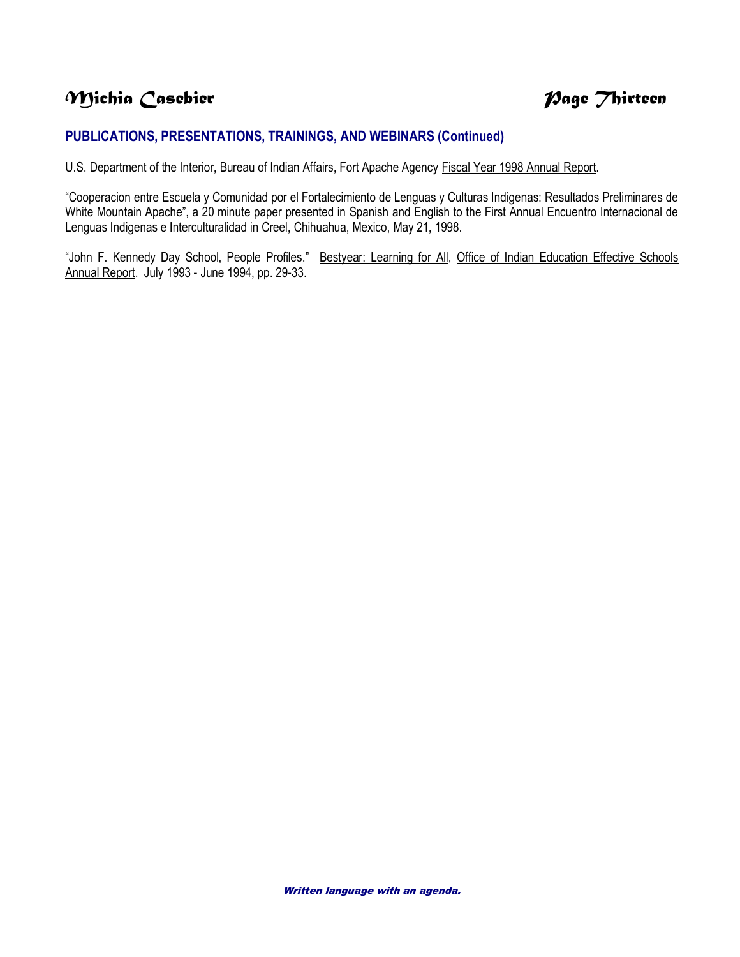# *Michia Casebier Page Thirteen*

### **PUBLICATIONS, PRESENTATIONS, TRAININGS, AND WEBINARS (Continued)**

U.S. Department of the Interior, Bureau of Indian Affairs, Fort Apache Agency Fiscal Year 1998 Annual Report.

"Cooperacion entre Escuela y Comunidad por el Fortalecimiento de Lenguas y Culturas Indigenas: Resultados Preliminares de White Mountain Apache", a 20 minute paper presented in Spanish and English to the First Annual Encuentro Internacional de Lenguas Indigenas e Interculturalidad in Creel, Chihuahua, Mexico, May 21, 1998.

"John F. Kennedy Day School, People Profiles." Bestyear: Learning for All, Office of Indian Education Effective Schools Annual Report. July 1993 - June 1994, pp. 29-33.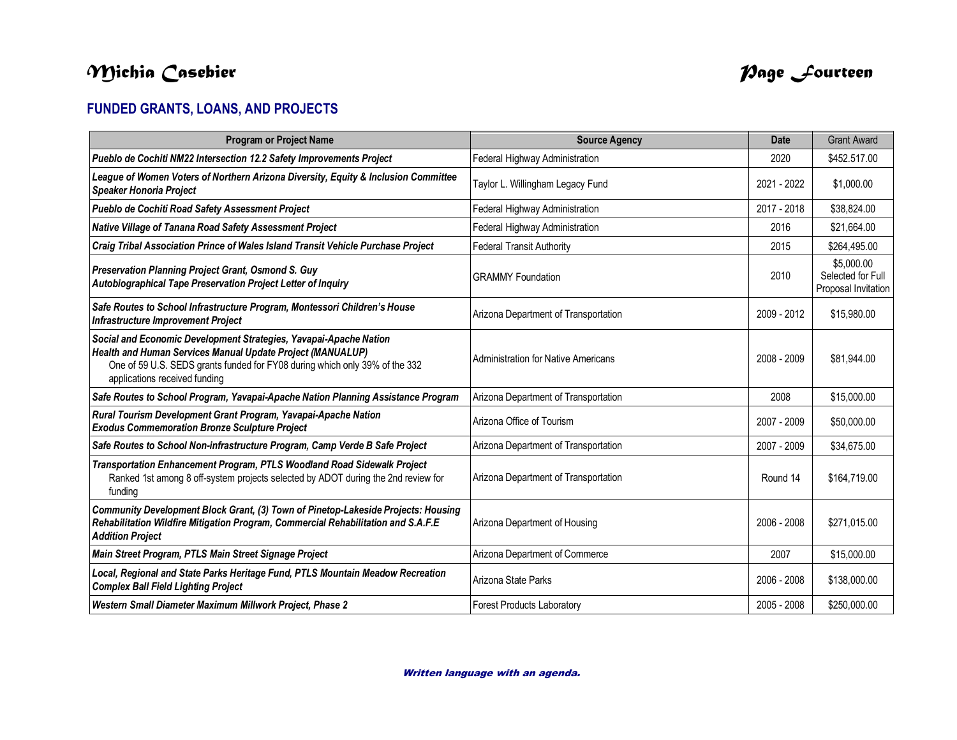# *Michia Casebier Page Fourteen*

## **FUNDED GRANTS, LOANS, AND PROJECTS**

| <b>Program or Project Name</b>                                                                                                                                                                                                                  | <b>Source Agency</b>                  | <b>Date</b> | <b>Grant Award</b>                                     |
|-------------------------------------------------------------------------------------------------------------------------------------------------------------------------------------------------------------------------------------------------|---------------------------------------|-------------|--------------------------------------------------------|
| Pueblo de Cochiti NM22 Intersection 12.2 Safety Improvements Project                                                                                                                                                                            | Federal Highway Administration        | 2020        | \$452.517.00                                           |
| League of Women Voters of Northern Arizona Diversity, Equity & Inclusion Committee<br><b>Speaker Honoria Project</b>                                                                                                                            | Taylor L. Willingham Legacy Fund      | 2021 - 2022 | \$1,000.00                                             |
| Pueblo de Cochiti Road Safety Assessment Project                                                                                                                                                                                                | Federal Highway Administration        | 2017 - 2018 | \$38,824.00                                            |
| Native Village of Tanana Road Safety Assessment Project                                                                                                                                                                                         | Federal Highway Administration        | 2016        | \$21,664.00                                            |
| Craig Tribal Association Prince of Wales Island Transit Vehicle Purchase Project                                                                                                                                                                | <b>Federal Transit Authority</b>      | 2015        | \$264.495.00                                           |
| Preservation Planning Project Grant, Osmond S. Guy<br>Autobiographical Tape Preservation Project Letter of Inquiry                                                                                                                              | <b>GRAMMY Foundation</b>              | 2010        | \$5,000.00<br>Selected for Full<br>Proposal Invitation |
| Safe Routes to School Infrastructure Program, Montessori Children's House<br><b>Infrastructure Improvement Project</b>                                                                                                                          | Arizona Department of Transportation  | 2009 - 2012 | \$15,980.00                                            |
| Social and Economic Development Strategies, Yavapai-Apache Nation<br>Health and Human Services Manual Update Project (MANUALUP)<br>One of 59 U.S. SEDS grants funded for FY08 during which only 39% of the 332<br>applications received funding | l Administration for Native Americans | 2008 - 2009 | \$81.944.00                                            |
| Safe Routes to School Program, Yavapai-Apache Nation Planning Assistance Program                                                                                                                                                                | Arizona Department of Transportation  | 2008        | \$15,000.00                                            |
| Rural Tourism Development Grant Program, Yavapai-Apache Nation<br><b>Exodus Commemoration Bronze Sculpture Project</b>                                                                                                                          | Arizona Office of Tourism             | 2007 - 2009 | \$50,000.00                                            |
| Safe Routes to School Non-infrastructure Program, Camp Verde B Safe Project                                                                                                                                                                     | Arizona Department of Transportation  | 2007 - 2009 | \$34.675.00                                            |
| Transportation Enhancement Program, PTLS Woodland Road Sidewalk Project<br>Ranked 1st among 8 off-system projects selected by ADOT during the 2nd review for<br>funding                                                                         | Arizona Department of Transportation  | Round 14    | \$164,719.00                                           |
| Community Development Block Grant, (3) Town of Pinetop-Lakeside Projects: Housing<br>Rehabilitation Wildfire Mitigation Program, Commercial Rehabilitation and S.A.F.E<br><b>Addition Project</b>                                               | Arizona Department of Housing         | 2006 - 2008 | \$271.015.00                                           |
| Main Street Program, PTLS Main Street Signage Project                                                                                                                                                                                           | Arizona Department of Commerce        | 2007        | \$15,000.00                                            |
| Local, Regional and State Parks Heritage Fund, PTLS Mountain Meadow Recreation<br><b>Complex Ball Field Lighting Project</b>                                                                                                                    | Arizona State Parks                   | 2006 - 2008 | \$138,000.00                                           |
| Western Small Diameter Maximum Millwork Project, Phase 2                                                                                                                                                                                        | <b>Forest Products Laboratory</b>     | 2005 - 2008 | \$250,000.00                                           |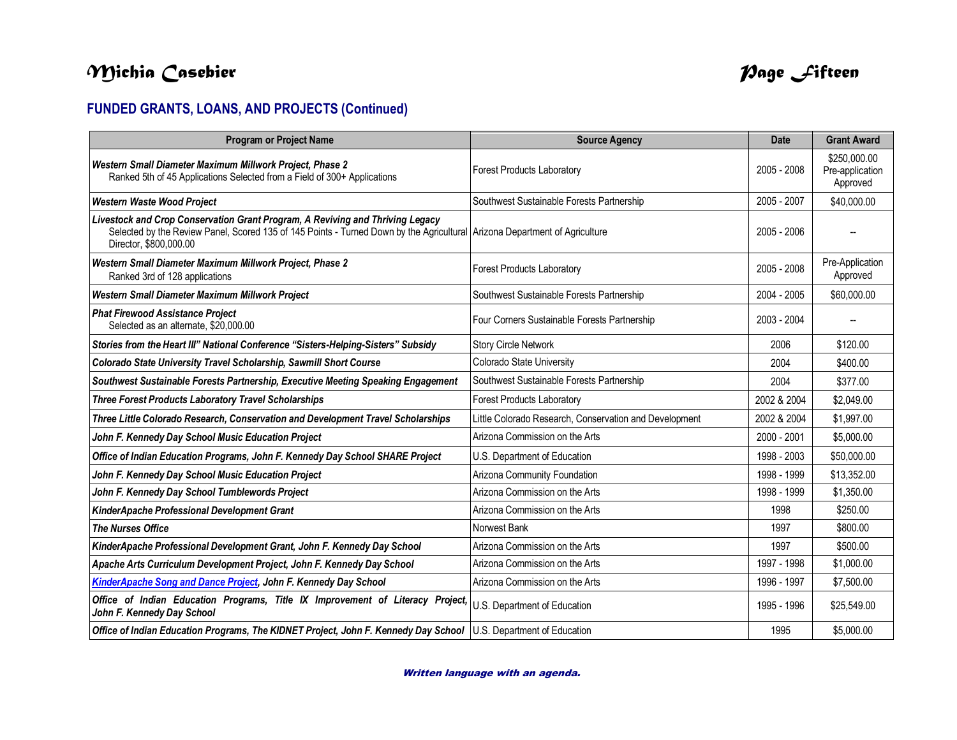# *Michia Casebier Page Fifteen*



## **FUNDED GRANTS, LOANS, AND PROJECTS (Continued)**

| <b>Program or Project Name</b>                                                                                                                                                                                                        | <b>Source Agency</b>                                   | <b>Date</b> | <b>Grant Award</b>                          |
|---------------------------------------------------------------------------------------------------------------------------------------------------------------------------------------------------------------------------------------|--------------------------------------------------------|-------------|---------------------------------------------|
| Western Small Diameter Maximum Millwork Project, Phase 2<br>Ranked 5th of 45 Applications Selected from a Field of 300+ Applications                                                                                                  | <b>Forest Products Laboratory</b>                      | 2005 - 2008 | \$250,000.00<br>Pre-application<br>Approved |
| <b>Western Waste Wood Project</b>                                                                                                                                                                                                     | Southwest Sustainable Forests Partnership              | 2005 - 2007 | \$40,000.00                                 |
| Livestock and Crop Conservation Grant Program, A Reviving and Thriving Legacy<br>Selected by the Review Panel, Scored 135 of 145 Points - Turned Down by the Agricultural Arizona Department of Agriculture<br>Director, \$800,000.00 |                                                        | 2005 - 2006 |                                             |
| Western Small Diameter Maximum Millwork Project, Phase 2<br>Ranked 3rd of 128 applications                                                                                                                                            | <b>Forest Products Laboratory</b>                      | 2005 - 2008 | Pre-Application<br>Approved                 |
| Western Small Diameter Maximum Millwork Project                                                                                                                                                                                       | Southwest Sustainable Forests Partnership              | 2004 - 2005 | \$60,000.00                                 |
| <b>Phat Firewood Assistance Project</b><br>Selected as an alternate, \$20,000.00                                                                                                                                                      | Four Corners Sustainable Forests Partnership           | 2003 - 2004 |                                             |
| Stories from the Heart III" National Conference "Sisters-Helping-Sisters" Subsidy                                                                                                                                                     | <b>Story Circle Network</b>                            | 2006        | \$120.00                                    |
| Colorado State University Travel Scholarship, Sawmill Short Course                                                                                                                                                                    | Colorado State University                              | 2004        | \$400.00                                    |
| Southwest Sustainable Forests Partnership, Executive Meeting Speaking Engagement                                                                                                                                                      | Southwest Sustainable Forests Partnership              | 2004        | \$377.00                                    |
| <b>Three Forest Products Laboratory Travel Scholarships</b>                                                                                                                                                                           | <b>Forest Products Laboratory</b>                      | 2002 & 2004 | \$2,049.00                                  |
| Three Little Colorado Research, Conservation and Development Travel Scholarships                                                                                                                                                      | Little Colorado Research, Conservation and Development | 2002 & 2004 | \$1,997.00                                  |
| John F. Kennedy Day School Music Education Project                                                                                                                                                                                    | Arizona Commission on the Arts                         | 2000 - 2001 | \$5,000.00                                  |
| Office of Indian Education Programs, John F. Kennedy Day School SHARE Project                                                                                                                                                         | U.S. Department of Education                           | 1998 - 2003 | \$50,000.00                                 |
| John F. Kennedy Day School Music Education Project                                                                                                                                                                                    | Arizona Community Foundation                           | 1998 - 1999 | \$13,352.00                                 |
| John F. Kennedy Day School Tumblewords Project                                                                                                                                                                                        | Arizona Commission on the Arts                         | 1998 - 1999 | \$1,350.00                                  |
| KinderApache Professional Development Grant                                                                                                                                                                                           | Arizona Commission on the Arts                         | 1998        | \$250.00                                    |
| <b>The Nurses Office</b>                                                                                                                                                                                                              | Norwest Bank                                           | 1997        | \$800.00                                    |
| KinderApache Professional Development Grant, John F. Kennedy Day School                                                                                                                                                               | Arizona Commission on the Arts                         | 1997        | \$500.00                                    |
| Apache Arts Curriculum Development Project, John F. Kennedy Day School                                                                                                                                                                | Arizona Commission on the Arts                         | 1997 - 1998 | \$1,000.00                                  |
| KinderApache Song and Dance Project, John F. Kennedy Day School                                                                                                                                                                       | Arizona Commission on the Arts                         | 1996 - 1997 | \$7,500.00                                  |
| Office of Indian Education Programs, Title IX Improvement of Literacy Project,<br>John F. Kennedy Day School                                                                                                                          | U.S. Department of Education                           | 1995 - 1996 | \$25,549.00                                 |
| Office of Indian Education Programs, The KIDNET Project, John F. Kennedy Day School   U.S. Department of Education                                                                                                                    |                                                        | 1995        | \$5,000.00                                  |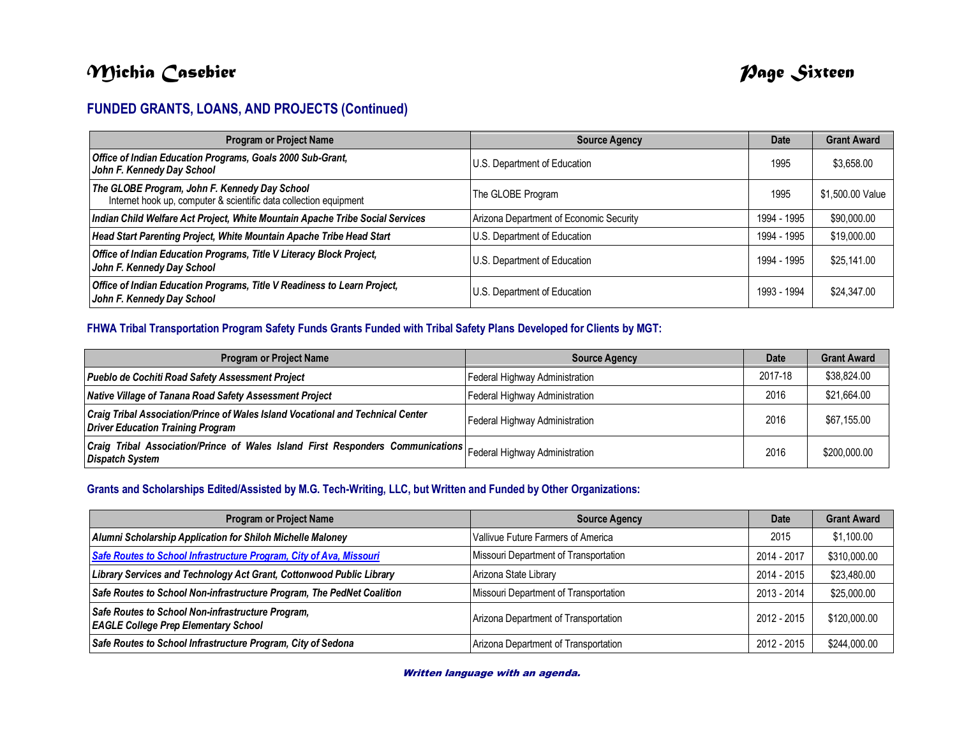# *Michia Casebier Page Sixteen*

## **FUNDED GRANTS, LOANS, AND PROJECTS (Continued)**

| <b>Program or Project Name</b>                                                                                     | <b>Source Agency</b>                    | <b>Date</b> | <b>Grant Award</b> |
|--------------------------------------------------------------------------------------------------------------------|-----------------------------------------|-------------|--------------------|
| Office of Indian Education Programs, Goals 2000 Sub-Grant,<br>John F. Kennedy Day School                           | U.S. Department of Education            | 1995        | \$3,658.00         |
| The GLOBE Program, John F. Kennedy Day School<br>Internet hook up, computer & scientific data collection equipment | The GLOBE Program                       | 1995        | \$1,500.00 Value   |
| Indian Child Welfare Act Project, White Mountain Apache Tribe Social Services                                      | Arizona Department of Economic Security | 1994 - 1995 | \$90,000.00        |
| Head Start Parenting Project, White Mountain Apache Tribe Head Start                                               | U.S. Department of Education            | 1994 - 1995 | \$19,000.00        |
| <b>Office of Indian Education Programs, Title V Literacy Block Project,</b><br>John F. Kennedy Day School          | U.S. Department of Education            | 1994 - 1995 | \$25,141.00        |
| Office of Indian Education Programs, Title V Readiness to Learn Project,<br>John F. Kennedy Day School             | U.S. Department of Education            | 1993 - 1994 | \$24,347.00        |

### **FHWA Tribal Transportation Program Safety Funds Grants Funded with Tribal Safety Plans Developed for Clients by MGT:**

| <b>Program or Project Name</b>                                                                                                           | <b>Source Agency</b>           | <b>Date</b> | <b>Grant Award</b> |
|------------------------------------------------------------------------------------------------------------------------------------------|--------------------------------|-------------|--------------------|
| Pueblo de Cochiti Road Safety Assessment Project                                                                                         | Federal Highway Administration | 2017-18     | \$38,824.00        |
| Native Village of Tanana Road Safety Assessment Project                                                                                  | Federal Highway Administration | 2016        | \$21,664.00        |
| Craig Tribal Association/Prince of Wales Island Vocational and Technical Center<br><b>Driver Education Training Program</b>              | Federal Highway Administration | 2016        | \$67,155.00        |
| Craig Tribal Association/Prince of Wales Island First Responders Communications Federal Highway Administration<br><b>Dispatch System</b> |                                | 2016        | \$200,000.00       |

### **Grants and Scholarships Edited/Assisted by M.G. Tech-Writing, LLC, but Written and Funded by Other Organizations:**

| <b>Program or Project Name</b>                                                                   | <b>Source Agency</b>                  | <b>Date</b> | <b>Grant Award</b> |
|--------------------------------------------------------------------------------------------------|---------------------------------------|-------------|--------------------|
| Alumni Scholarship Application for Shiloh Michelle Maloney                                       | Vallivue Future Farmers of America    | 2015        | \$1,100.00         |
| Safe Routes to School Infrastructure Program, City of Ava, Missouri                              | Missouri Department of Transportation | 2014 - 2017 | \$310,000.00       |
| Library Services and Technology Act Grant, Cottonwood Public Library                             | Arizona State Library                 | 2014 - 2015 | \$23,480.00        |
| Safe Routes to School Non-infrastructure Program, The PedNet Coalition                           | Missouri Department of Transportation | 2013 - 2014 | \$25,000.00        |
| Safe Routes to School Non-infrastructure Program,<br><b>EAGLE College Prep Elementary School</b> | Arizona Department of Transportation  | 2012 - 2015 | \$120,000.00       |
| Safe Routes to School Infrastructure Program, City of Sedona                                     | Arizona Department of Transportation  | 2012 - 2015 | \$244,000.00       |